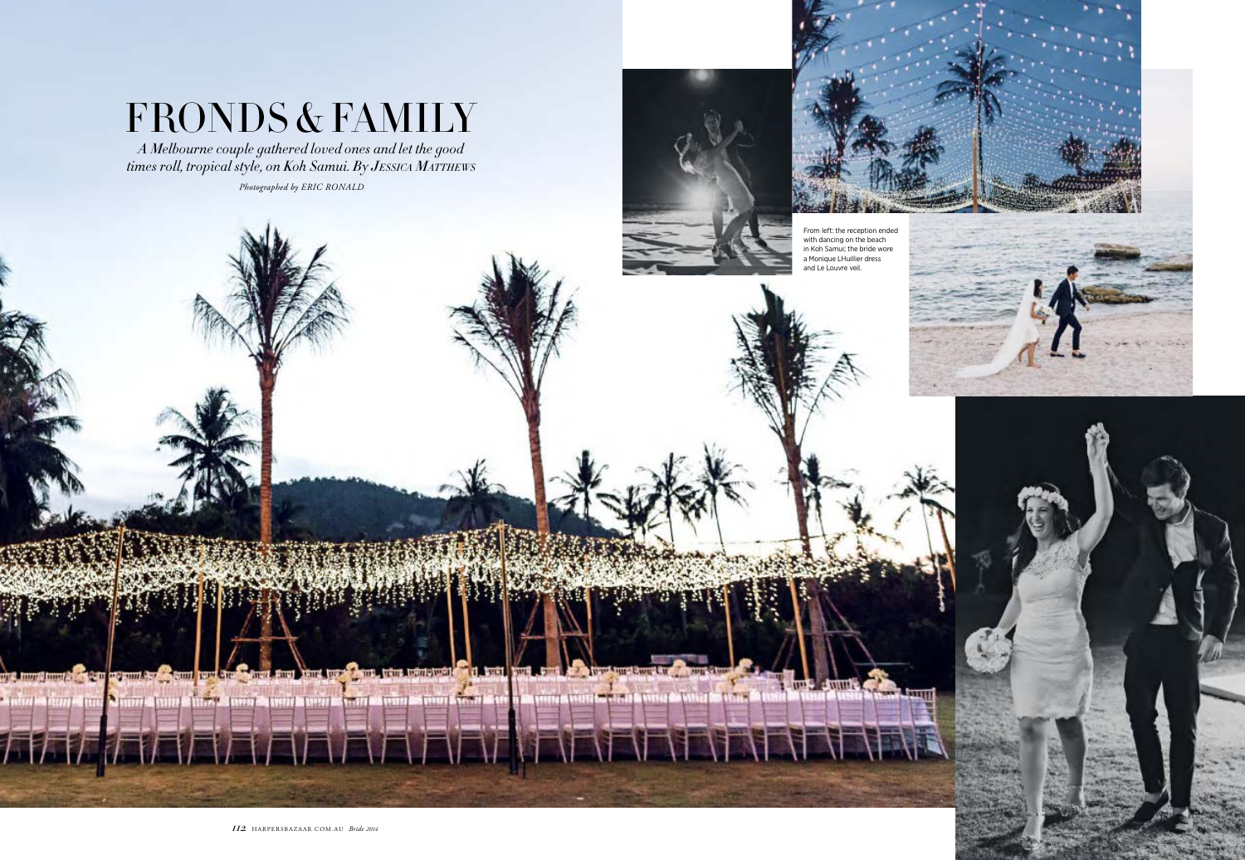**Fill**y

with month more in the more and the court hour are

**Aister** de la

third two Chart, trims todate want of it, buttle burd, but the chart trust have the charge of the





*A Melbourne couple gathered loved ones and let the good times roll, tropical style, on Koh Samui. By JESSICA MATTHEWS*

## FRONDS & FAMILY

From left: the reception ended with dancing on the beach in Koh Samui; the bride wore a Monique LHuillier dress and Le Louvre veil.

**El qui 3 d'unité de** 

**TURNE** 

*Photographed by ERIC RONALD*

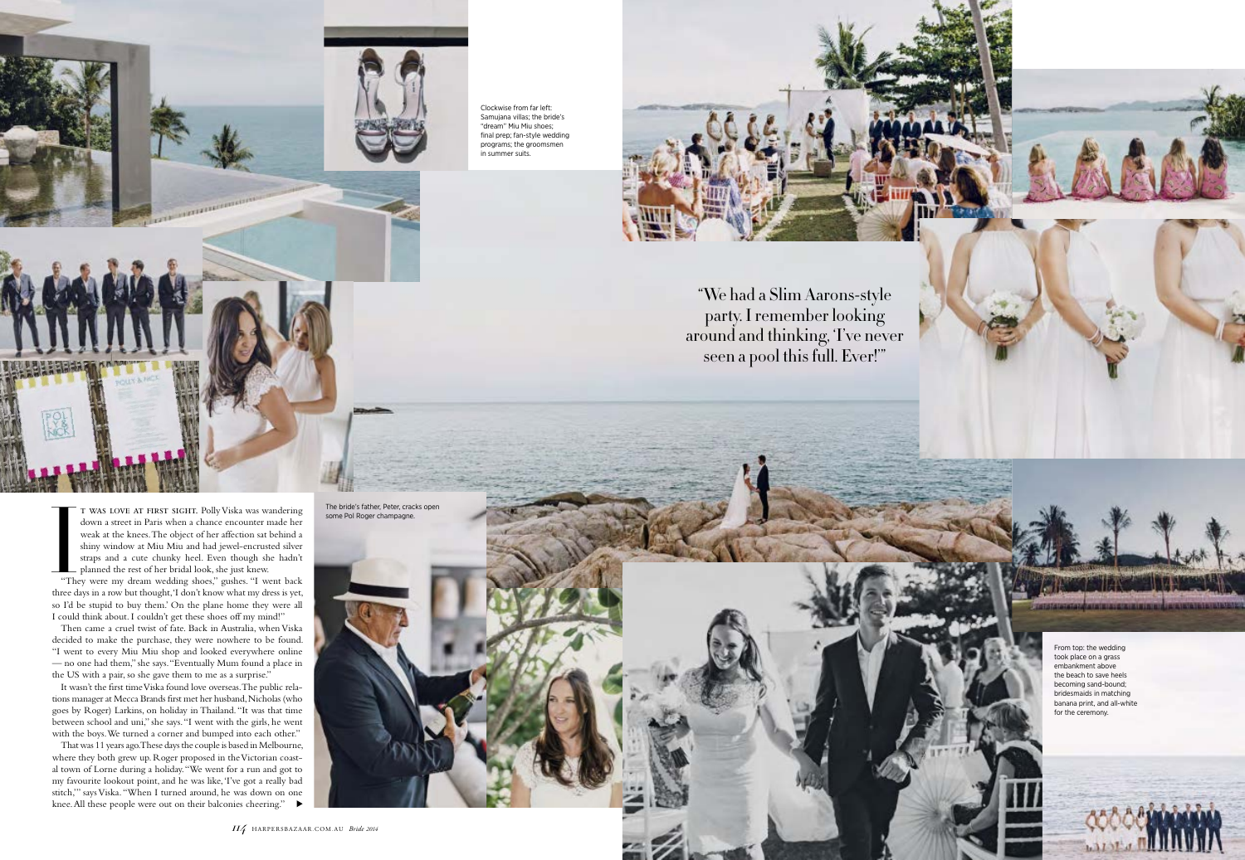

t was love at first sight. Polly Viska was wandering down a street in Paris when a chance encounter made her weak at the knees. The object of her affection sat behind a shiny window at Miu Miu and had jewel-encrusted silver straps and a cute chunky heel. Even though she hadn't **planned the rest of her bridal look**, she just knew.  $\frac{1}{\sqrt{1}}$   $\frac{1}{\sqrt{1}}$ 

"They were my dream wedding shoes," gushes. "I went back three days in a row but thought, 'I don't know what my dress is yet, so I'd be stupid to buy them.' On the plane home they were all I could think about. I couldn't get these shoes off my mind!"

That was 11 years ago. These days the couple is based in Melbourne, where they both grew up. Roger proposed in the Victorian coastal town of Lorne during a holiday. "We went for a run and got to my favourite lookout point, and he was like, 'I've got a really bad stitch,'" says Viska. "When I turned around, he was down on one knee. All these people were out on their balconies cheering."

Then came a cruel twist of fate. Back in Australia, when Viska decided to make the purchase, they were nowhere to be found. "I went to every Miu Miu shop and looked everywhere online — no one had them," she says. "Eventually Mum found a place in the US with a pair, so she gave them to me as a surprise."

It wasn't the first time Viska found love overseas. The public relations manager at Mecca Brands first met her husband, Nicholas (who goes by Roger) Larkins, on holiday in Thailand. "It was that time between school and uni," she says. "I went with the girls, he went with the boys. We turned a corner and bumped into each other."

"We had a Slim Aarons-style party. I remember looking around and thinking, 'I've never seen a pool this full. Ever!'"



Clockwise from far left: Samujana villas; the bride's "dream" Miu Miu shoes; final prep; fan-style wedding programs; the groomsmen in summer suits.



The bride's father, Peter, cracks open some Pol Roger champagne.

> From top: the wedding took place on a grass embankment above the beach to save heels becoming sand-bound; bridesmaids in matching banana print, and all-white for the ceremony.